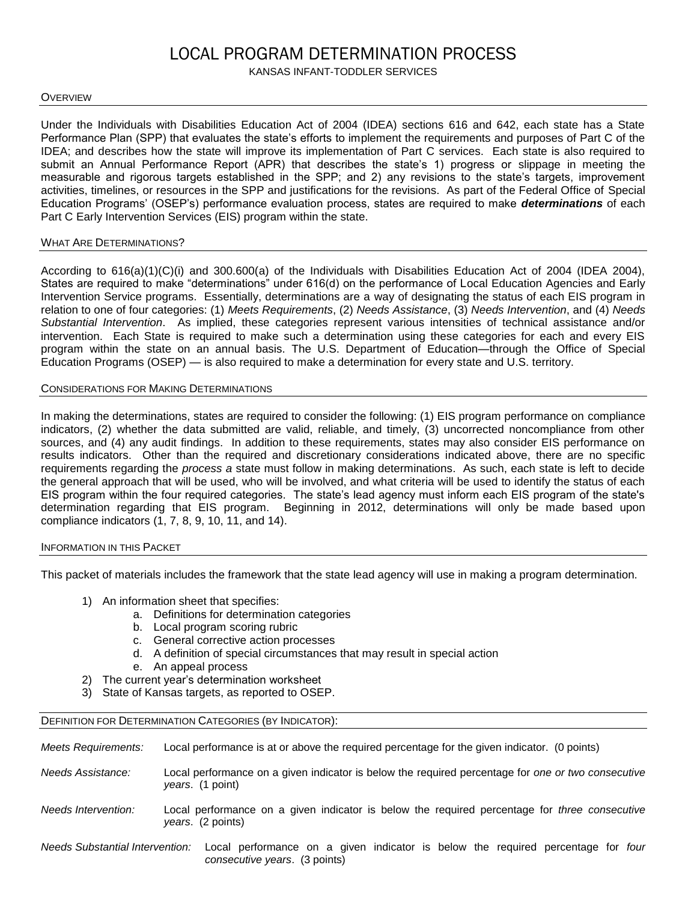# LOCAL PROGRAM DETERMINATION PROCESS

# KANSAS INFANT-TODDLER SERVICES

### **OVERVIEW**

Under the Individuals with Disabilities Education Act of 2004 (IDEA) sections 616 and 642, each state has a State Performance Plan (SPP) that evaluates the state's efforts to implement the requirements and purposes of Part C of the IDEA; and describes how the state will improve its implementation of Part C services. Each state is also required to submit an Annual Performance Report (APR) that describes the state's 1) progress or slippage in meeting the measurable and rigorous targets established in the SPP; and 2) any revisions to the state's targets, improvement activities, timelines, or resources in the SPP and justifications for the revisions. As part of the Federal Office of Special Education Programs' (OSEP's) performance evaluation process, states are required to make *determinations* of each Part C Early Intervention Services (EIS) program within the state.

### WHAT ARE DETERMINATIONS?

According to 616(a)(1)(C)(i) and 300.600(a) of the Individuals with Disabilities Education Act of 2004 (IDEA 2004), States are required to make "determinations" under 616(d) on the performance of Local Education Agencies and Early Intervention Service programs. Essentially, determinations are a way of designating the status of each EIS program in relation to one of four categories: (1) *Meets Requirements*, (2) *Needs Assistance*, (3) *Needs Intervention*, and (4) *Needs Substantial Intervention*. As implied, these categories represent various intensities of technical assistance and/or intervention. Each State is required to make such a determination using these categories for each and every EIS program within the state on an annual basis. The U.S. Department of Education—through the Office of Special Education Programs (OSEP) — is also required to make a determination for every state and U.S. territory.

## CONSIDERATIONS FOR MAKING DETERMINATIONS

In making the determinations, states are required to consider the following: (1) EIS program performance on compliance indicators, (2) whether the data submitted are valid, reliable, and timely, (3) uncorrected noncompliance from other sources, and (4) any audit findings. In addition to these requirements, states may also consider EIS performance on results indicators. Other than the required and discretionary considerations indicated above, there are no specific requirements regarding the *process a* state must follow in making determinations. As such, each state is left to decide the general approach that will be used, who will be involved, and what criteria will be used to identify the status of each EIS program within the four required categories. The state's lead agency must inform each EIS program of the state's determination regarding that EIS program. Beginning in 2012, determinations will only be made based upon compliance indicators (1, 7, 8, 9, 10, 11, and 14).

### INFORMATION IN THIS PACKET

This packet of materials includes the framework that the state lead agency will use in making a program determination.

- 1) An information sheet that specifies:
	- a. Definitions for determination categories
	- b. Local program scoring rubric
	- c. General corrective action processes
	- d. A definition of special circumstances that may result in special action
	- e. An appeal process
- 2) The current year's determination worksheet
- 3) State of Kansas targets, as reported to OSEP.

## DEFINITION FOR DETERMINATION CATEGORIES (BY INDICATOR):

*Meets Requirements:* Local performance is at or above the required percentage for the given indicator. (0 points)

- *Needs Assistance:* Local performance on a given indicator is below the required percentage for *one or two consecutive years*. (1 point)
- *Needs Intervention:* Local performance on a given indicator is below the required percentage for *three consecutive years*. (2 points)
- *Needs Substantial Intervention:* Local performance on a given indicator is below the required percentage for *four consecutive years*. (3 points)